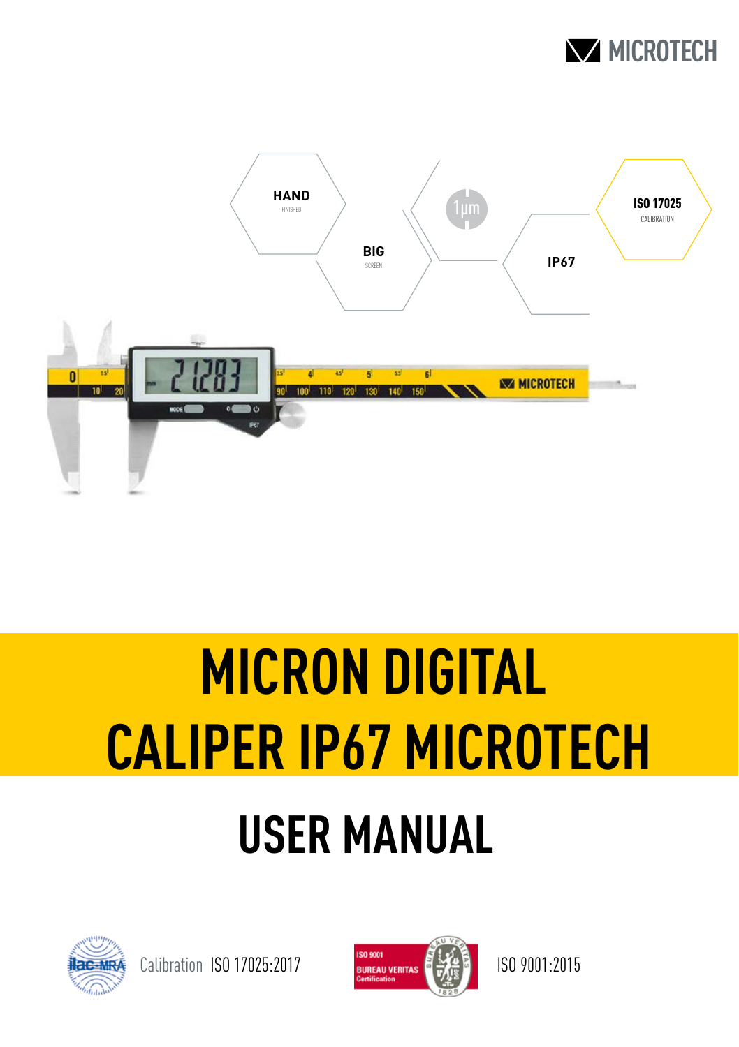



# **USER MANUAL MICRON DIGITAL CALIPER IP67 MICROTECH**



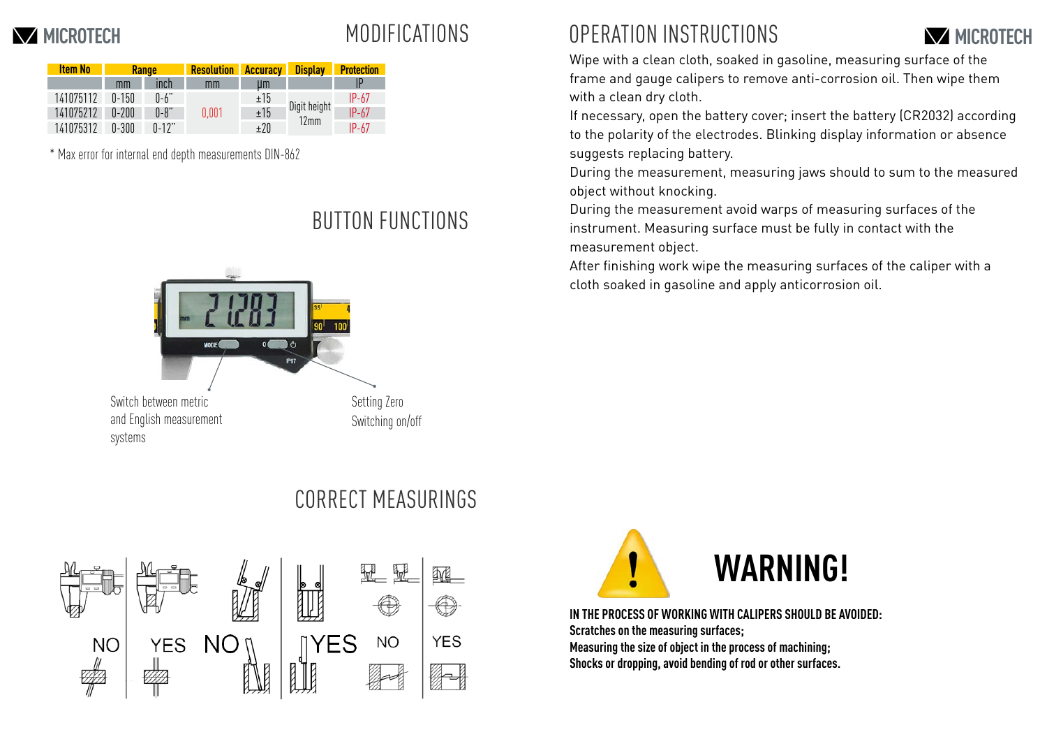## MODIFICATIONS

| <b>Item No</b> | <b>Range</b> |           | <b>Resolution</b> | <b>Accuracy</b> | <b>Display</b>       | <b>Protection</b> |
|----------------|--------------|-----------|-------------------|-----------------|----------------------|-------------------|
|                | mm           | inch      | mm                | um              |                      | IP                |
| 141075112      | $0 - 150$    | $0-6"$    | 0.001             | ±15             | Digit height<br>12mm | $IP-67$           |
| 141075212      | $0 - 200$    | $0 - 8$ " |                   | ±15             |                      | $IP-67$           |
| 141075312      | 0-300        | $0 - 12"$ |                   | ±20             |                      | $IP-67$           |

\* Max error for internal end depth measurements DIN-862

#### BUTTON FUNCTIONS



#### **MICROTECH MICROTECH** OPERATION INSTRUCTIONS



Wipe with a clean cloth, soaked in gasoline, measuring surface of the frame and gauge calipers to remove anti-corrosion oil. Then wipe them with a clean dry cloth.

If necessary, open the battery cover; insert the battery (CR2032) according to the polarity of the electrodes. Blinking display information or absence suggests replacing battery.

During the measurement, measuring jaws should to sum to the measured object without knocking.

During the measurement avoid warps of measuring surfaces of the instrument. Measuring surface must be fully in contact with the measurement object.

After finishing work wipe the measuring surfaces of the caliper with a cloth soaked in gasoline and apply anticorrosion oil.



### CORRECT MEASURINGS



**IN THE PROCESS OF WORKING WITH CALIPERS SHOULD BE AVOIDED: Scratches on the measuring surfaces; Measuring the size of object in the process of machining; Shocks or dropping, avoid bending of rod or other surfaces.**